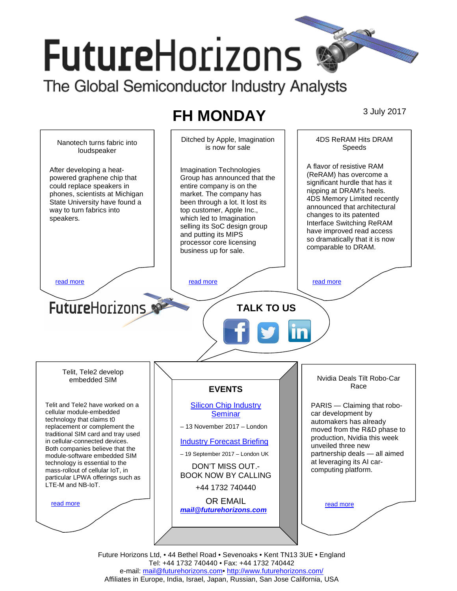# **FutureHorizons** The Global Semiconductor Industry Analysts

## **FH MONDAY** 3 July 2017



Future Horizons Ltd, • 44 Bethel Road • Sevenoaks • Kent TN13 3UE • England Tel: +44 1732 740440 • Fax: +44 1732 740442 e-mail: mail@futurehorizons.com• http://www.futurehorizons.com/ Affiliates in Europe, India, Israel, Japan, Russian, San Jose California, USA